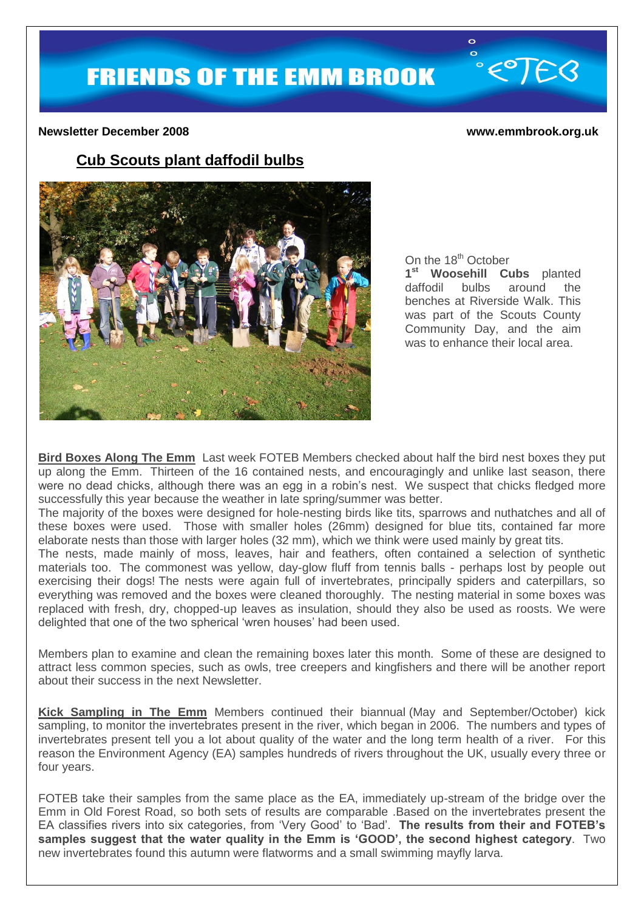$e^{c}$ FEB

#### **Newsletter December 2008 www.emmbrook.org.uk**

# **Cub Scouts plant daffodil bulbs**



On the 18<sup>th</sup> October **1 st Woosehill Cubs** planted daffodil bulbs around the benches at Riverside Walk. This was part of the Scouts County Community Day, and the aim was to enhance their local area.

 $\circ$  $\overline{\mathbf{o}}$ 

**Bird Boxes Along The Emm** Last week FOTEB Members checked about half the bird nest boxes they put up along the Emm. Thirteen of the 16 contained nests, and encouragingly and unlike last season, there were no dead chicks, although there was an egg in a robin's nest. We suspect that chicks fledged more successfully this year because the weather in late spring/summer was better.

The majority of the boxes were designed for hole-nesting birds like tits, sparrows and nuthatches and all of these boxes were used. Those with smaller holes (26mm) designed for blue tits, contained far more elaborate nests than those with larger holes (32 mm), which we think were used mainly by great tits.

The nests, made mainly of moss, leaves, hair and feathers, often contained a selection of synthetic materials too. The commonest was yellow, day-glow fluff from tennis balls - perhaps lost by people out exercising their dogs! The nests were again full of invertebrates, principally spiders and caterpillars, so everything was removed and the boxes were cleaned thoroughly. The nesting material in some boxes was replaced with fresh, dry, chopped-up leaves as insulation, should they also be used as roosts. We were delighted that one of the two spherical 'wren houses' had been used.

Members plan to examine and clean the remaining boxes later this month. Some of these are designed to attract less common species, such as owls, tree creepers and kingfishers and there will be another report about their success in the next Newsletter.

**Kick Sampling in The Emm** Members continued their biannual (May and September/October) kick sampling, to monitor the invertebrates present in the river, which began in 2006. The numbers and types of invertebrates present tell you a lot about quality of the water and the long term health of a river. For this reason the Environment Agency (EA) samples hundreds of rivers throughout the UK, usually every three or four years.

FOTEB take their samples from the same place as the EA, immediately up-stream of the bridge over the Emm in Old Forest Road, so both sets of results are comparable .Based on the invertebrates present the EA classifies rivers into six categories, from 'Very Good' to 'Bad'. **The results from their and FOTEB's samples suggest that the water quality in the Emm is 'GOOD', the second highest category**. Two new invertebrates found this autumn were flatworms and a small swimming mayfly larva.